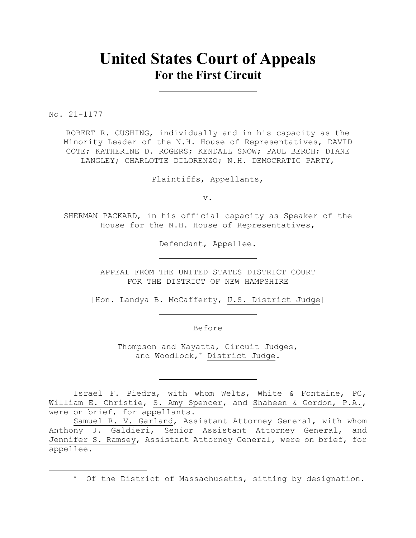## **United States Court of Appeals For the First Circuit**

No. 21-1177

ROBERT R. CUSHING, individually and in his capacity as the Minority Leader of the N.H. House of Representatives, DAVID COTE; KATHERINE D. ROGERS; KENDALL SNOW; PAUL BERCH; DIANE LANGLEY; CHARLOTTE DILORENZO; N.H. DEMOCRATIC PARTY,

Plaintiffs, Appellants,

v.

SHERMAN PACKARD, in his official capacity as Speaker of the House for the N.H. House of Representatives,

Defendant, Appellee.

APPEAL FROM THE UNITED STATES DISTRICT COURT FOR THE DISTRICT OF NEW HAMPSHIRE

[Hon. Landya B. McCafferty, U.S. District Judge]

Before

Thompson and Kayatta, Circuit Judges, and Woodlock,\* District Judge.

Israel F. Piedra, with whom Welts, White & Fontaine, PC, William E. Christie, S. Amy Spencer, and Shaheen & Gordon, P.A., were on brief, for appellants.

Samuel R. V. Garland, Assistant Attorney General, with whom Anthony J. Galdieri, Senior Assistant Attorney General, and Jennifer S. Ramsey, Assistant Attorney General, were on brief, for appellee.

\* Of the District of Massachusetts, sitting by designation.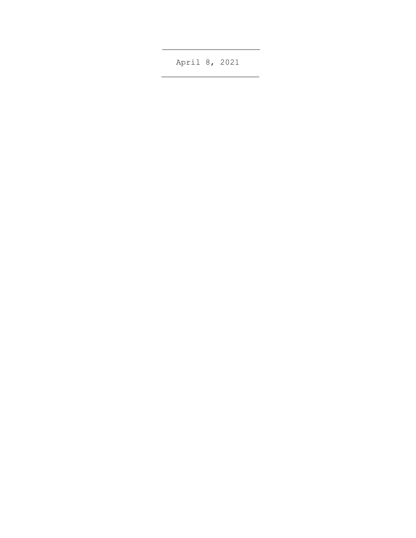April 8, 2021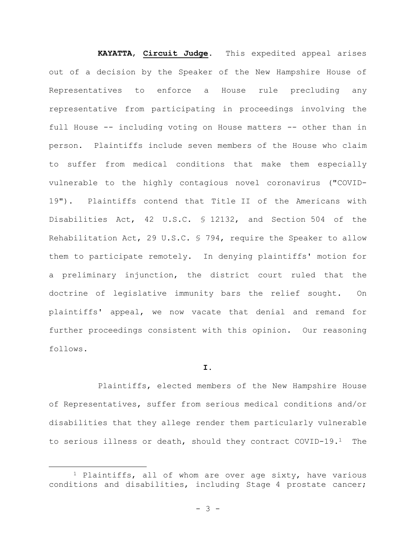**KAYATTA**, **Circuit Judge**. This expedited appeal arises out of a decision by the Speaker of the New Hampshire House of Representatives to enforce a House rule precluding any representative from participating in proceedings involving the full House -- including voting on House matters -- other than in person. Plaintiffs include seven members of the House who claim to suffer from medical conditions that make them especially vulnerable to the highly contagious novel coronavirus ("COVID-19"). Plaintiffs contend that Title II of the Americans with Disabilities Act, 42 U.S.C. § 12132, and Section 504 of the Rehabilitation Act, 29 U.S.C. § 794, require the Speaker to allow them to participate remotely. In denying plaintiffs' motion for a preliminary injunction, the district court ruled that the doctrine of legislative immunity bars the relief sought. On plaintiffs' appeal, we now vacate that denial and remand for further proceedings consistent with this opinion. Our reasoning follows.

## **I.**

Plaintiffs, elected members of the New Hampshire House of Representatives, suffer from serious medical conditions and/or disabilities that they allege render them particularly vulnerable to serious illness or death, should they contract COVID-19.1 The

<sup>1</sup> Plaintiffs, all of whom are over age sixty, have various conditions and disabilities, including Stage 4 prostate cancer;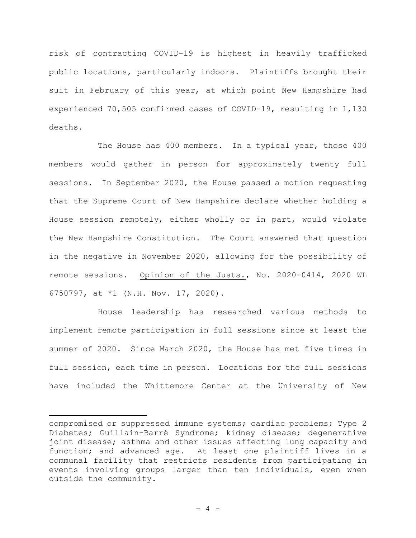risk of contracting COVID-19 is highest in heavily trafficked public locations, particularly indoors. Plaintiffs brought their suit in February of this year, at which point New Hampshire had experienced 70,505 confirmed cases of COVID-19, resulting in 1,130 deaths.

The House has 400 members. In a typical year, those 400 members would gather in person for approximately twenty full sessions. In September 2020, the House passed a motion requesting that the Supreme Court of New Hampshire declare whether holding a House session remotely, either wholly or in part, would violate the New Hampshire Constitution. The Court answered that question in the negative in November 2020, allowing for the possibility of remote sessions. Opinion of the Justs., No. 2020-0414, 2020 WL 6750797, at \*1 (N.H. Nov. 17, 2020).

House leadership has researched various methods to implement remote participation in full sessions since at least the summer of 2020. Since March 2020, the House has met five times in full session, each time in person. Locations for the full sessions have included the Whittemore Center at the University of New

compromised or suppressed immune systems; cardiac problems; Type 2 Diabetes; Guillain-Barré Syndrome; kidney disease; degenerative joint disease; asthma and other issues affecting lung capacity and function; and advanced age. At least one plaintiff lives in a communal facility that restricts residents from participating in events involving groups larger than ten individuals, even when outside the community.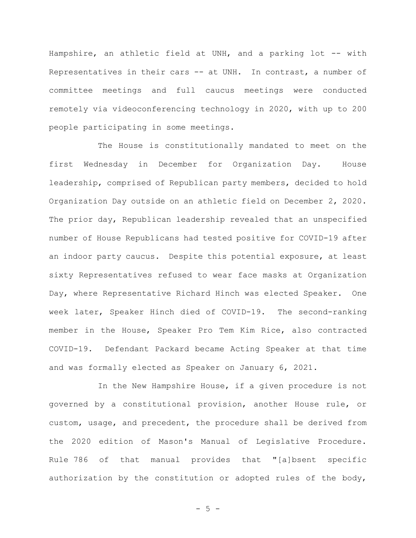Hampshire, an athletic field at UNH, and a parking lot -- with Representatives in their cars -- at UNH. In contrast, a number of committee meetings and full caucus meetings were conducted remotely via videoconferencing technology in 2020, with up to 200 people participating in some meetings.

The House is constitutionally mandated to meet on the first Wednesday in December for Organization Day. House leadership, comprised of Republican party members, decided to hold Organization Day outside on an athletic field on December 2, 2020. The prior day, Republican leadership revealed that an unspecified number of House Republicans had tested positive for COVID-19 after an indoor party caucus. Despite this potential exposure, at least sixty Representatives refused to wear face masks at Organization Day, where Representative Richard Hinch was elected Speaker. One week later, Speaker Hinch died of COVID-19. The second-ranking member in the House, Speaker Pro Tem Kim Rice, also contracted COVID-19. Defendant Packard became Acting Speaker at that time and was formally elected as Speaker on January 6, 2021.

In the New Hampshire House, if a given procedure is not governed by a constitutional provision, another House rule, or custom, usage, and precedent, the procedure shall be derived from the 2020 edition of Mason's Manual of Legislative Procedure. Rule 786 of that manual provides that "[a]bsent specific authorization by the constitution or adopted rules of the body,

 $- 5 -$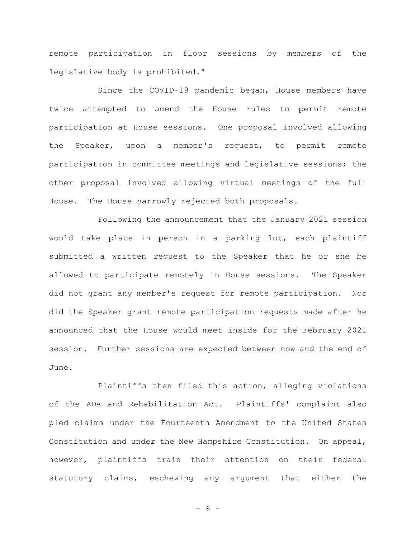remote participation in floor sessions by members of the legislative body is prohibited."

Since the COVID-19 pandemic began, House members have twice attempted to amend the House rules to permit remote participation at House sessions. One proposal involved allowing the Speaker, upon a member's request, to permit remote participation in committee meetings and legislative sessions; the other proposal involved allowing virtual meetings of the full House. The House narrowly rejected both proposals.

Following the announcement that the January 2021 session would take place in person in a parking lot, each plaintiff submitted a written request to the Speaker that he or she be allowed to participate remotely in House sessions. The Speaker did not grant any member's request for remote participation. Nor did the Speaker grant remote participation requests made after he announced that the House would meet inside for the February 2021 session. Further sessions are expected between now and the end of June.

Plaintiffs then filed this action, alleging violations of the ADA and Rehabilitation Act. Plaintiffs' complaint also pled claims under the Fourteenth Amendment to the United States Constitution and under the New Hampshire Constitution. On appeal, however, plaintiffs train their attention on their federal statutory claims, eschewing any argument that either the

- 6 -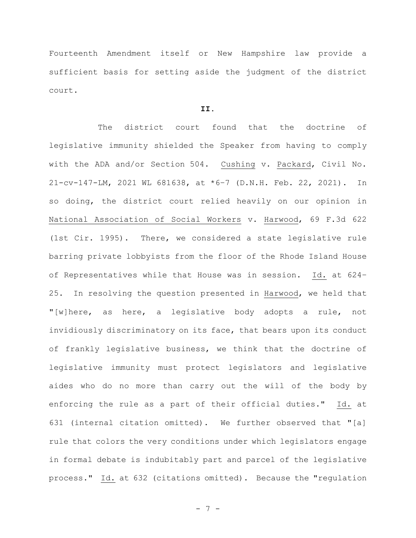Fourteenth Amendment itself or New Hampshire law provide a sufficient basis for setting aside the judgment of the district court.

## **II.**

The district court found that the doctrine of legislative immunity shielded the Speaker from having to comply with the ADA and/or Section 504. Cushing v. Packard, Civil No. 21-cv-147-LM, 2021 WL 681638, at \*6–7 (D.N.H. Feb. 22, 2021). In so doing, the district court relied heavily on our opinion in National Association of Social Workers v. Harwood, 69 F.3d 622 (1st Cir. 1995). There, we considered a state legislative rule barring private lobbyists from the floor of the Rhode Island House of Representatives while that House was in session. Id. at 624– 25. In resolving the question presented in Harwood, we held that "[w]here, as here, a legislative body adopts a rule, not invidiously discriminatory on its face, that bears upon its conduct of frankly legislative business, we think that the doctrine of legislative immunity must protect legislators and legislative aides who do no more than carry out the will of the body by enforcing the rule as a part of their official duties." Id. at 631 (internal citation omitted). We further observed that "[a] rule that colors the very conditions under which legislators engage in formal debate is indubitably part and parcel of the legislative process." Id. at 632 (citations omitted). Because the "regulation

- 7 -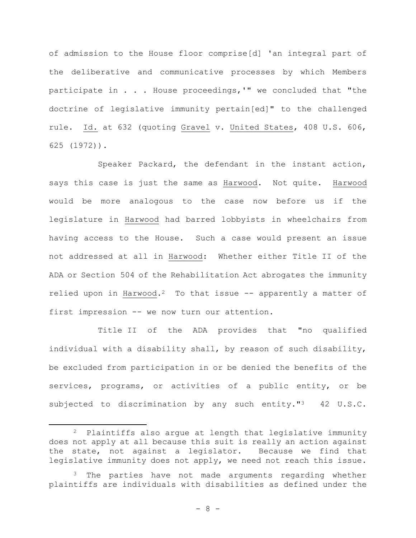of admission to the House floor comprise[d] 'an integral part of the deliberative and communicative processes by which Members participate in . . . House proceedings,'" we concluded that "the doctrine of legislative immunity pertain[ed]" to the challenged rule. Id. at 632 (quoting Gravel v. United States, 408 U.S. 606, 625 (1972)).

Speaker Packard, the defendant in the instant action, says this case is just the same as Harwood. Not quite. Harwood would be more analogous to the case now before us if the legislature in Harwood had barred lobbyists in wheelchairs from having access to the House. Such a case would present an issue not addressed at all in Harwood: Whether either Title II of the ADA or Section 504 of the Rehabilitation Act abrogates the immunity relied upon in Harwood.<sup>2</sup> To that issue  $-$  apparently a matter of first impression -- we now turn our attention.

Title II of the ADA provides that "no qualified individual with a disability shall, by reason of such disability, be excluded from participation in or be denied the benefits of the services, programs, or activities of a public entity, or be subjected to discrimination by any such entity."<sup>3</sup> 42 U.S.C.

<sup>&</sup>lt;sup>2</sup> Plaintiffs also argue at length that legislative immunity does not apply at all because this suit is really an action against the state, not against a legislator. Because we find that legislative immunity does not apply, we need not reach this issue.

<sup>&</sup>lt;sup>3</sup> The parties have not made arguments regarding whether plaintiffs are individuals with disabilities as defined under the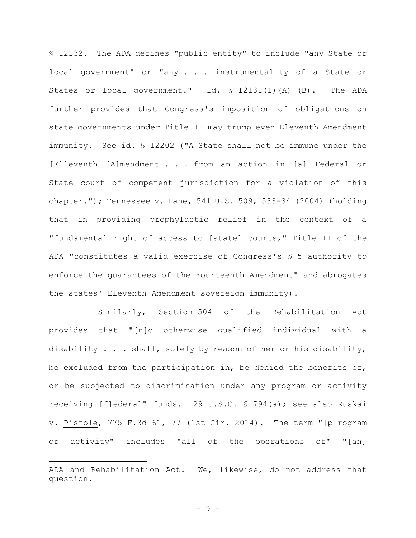§ 12132. The ADA defines "public entity" to include "any State or local government" or "any . . . instrumentality of a State or States or local government." Id.  $\frac{1}{2}$  12131(1)(A)-(B). The ADA further provides that Congress's imposition of obligations on state governments under Title II may trump even Eleventh Amendment immunity. See id. § 12202 ("A State shall not be immune under the [E]leventh [A]mendment . . . from an action in [a] Federal or State court of competent jurisdiction for a violation of this chapter."); Tennessee v. Lane, 541 U.S. 509, 533-34 (2004) (holding that in providing prophylactic relief in the context of a "fundamental right of access to [state] courts," Title II of the ADA "constitutes a valid exercise of Congress's § 5 authority to enforce the guarantees of the Fourteenth Amendment" and abrogates the states' Eleventh Amendment sovereign immunity).

Similarly, Section 504 of the Rehabilitation Act provides that "[n]o otherwise qualified individual with a disability . . . shall, solely by reason of her or his disability, be excluded from the participation in, be denied the benefits of, or be subjected to discrimination under any program or activity receiving [f]ederal" funds. 29 U.S.C. § 794(a); see also Ruskai v. Pistole, 775 F.3d 61, 77 (1st Cir. 2014). The term "[p]rogram or activity" includes "all of the operations of" "[an]

ADA and Rehabilitation Act. We, likewise, do not address that question.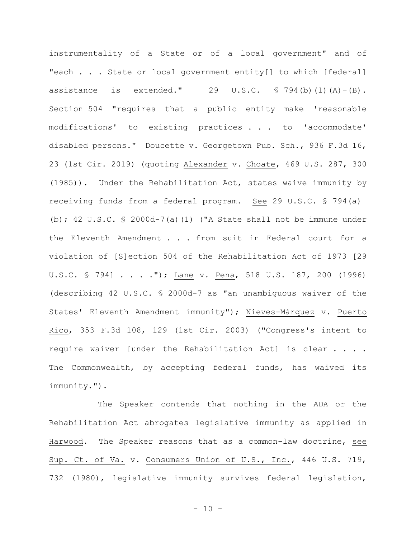instrumentality of a State or of a local government" and of "each . . . State or local government entity[] to which [federal] assistance is extended." 29 U.S.C.  $\frac{1}{2}$  794(b)(1)(A)-(B). Section 504 "requires that a public entity make 'reasonable modifications' to existing practices . . . to 'accommodate' disabled persons." Doucette v. Georgetown Pub. Sch., 936 F.3d 16, 23 (1st Cir. 2019) (quoting Alexander v. Choate, 469 U.S. 287, 300 (1985)). Under the Rehabilitation Act, states waive immunity by receiving funds from a federal program. See 29 U.S.C. § 794(a)– (b); 42 U.S.C. § 2000d-7(a)(1) ("A State shall not be immune under the Eleventh Amendment . . . from suit in Federal court for a violation of [S]ection 504 of the Rehabilitation Act of 1973 [29 U.S.C. § 794] . . . ."); Lane v. Pena, 518 U.S. 187, 200 (1996) (describing 42 U.S.C. § 2000d-7 as "an unambiguous waiver of the States' Eleventh Amendment immunity"); Nieves-Márquez v. Puerto Rico, 353 F.3d 108, 129 (1st Cir. 2003) ("Congress's intent to require waiver [under the Rehabilitation Act] is clear . . . . The Commonwealth, by accepting federal funds, has waived its immunity.").

The Speaker contends that nothing in the ADA or the Rehabilitation Act abrogates legislative immunity as applied in Harwood. The Speaker reasons that as a common-law doctrine, see Sup. Ct. of Va. v. Consumers Union of U.S., Inc., 446 U.S. 719, 732 (1980), legislative immunity survives federal legislation,

 $- 10 -$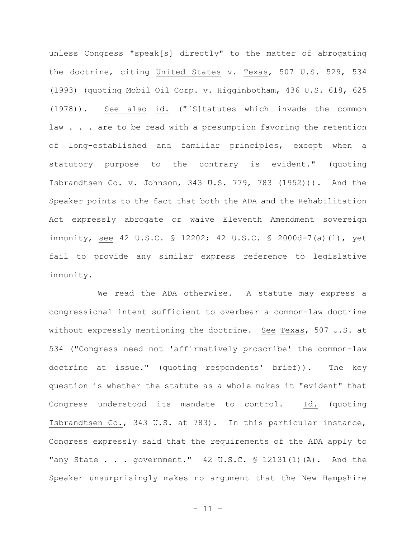unless Congress "speak[s] directly" to the matter of abrogating the doctrine, citing United States v. Texas, 507 U.S. 529, 534 (1993) (quoting Mobil Oil Corp. v. Higginbotham, 436 U.S. 618, 625 (1978)). See also id. ("[S]tatutes which invade the common law . . . are to be read with a presumption favoring the retention of long-established and familiar principles, except when a statutory purpose to the contrary is evident." (quoting Isbrandtsen Co. v. Johnson, 343 U.S. 779, 783 (1952))). And the Speaker points to the fact that both the ADA and the Rehabilitation Act expressly abrogate or waive Eleventh Amendment sovereign immunity, see 42 U.S.C. § 12202; 42 U.S.C. § 2000d-7(a)(1), yet fail to provide any similar express reference to legislative immunity.

We read the ADA otherwise. A statute may express a congressional intent sufficient to overbear a common-law doctrine without expressly mentioning the doctrine. See Texas, 507 U.S. at 534 ("Congress need not 'affirmatively proscribe' the common-law doctrine at issue." (quoting respondents' brief)). The key question is whether the statute as a whole makes it "evident" that Congress understood its mandate to control. Id. (quoting Isbrandtsen Co., 343 U.S. at 783). In this particular instance, Congress expressly said that the requirements of the ADA apply to "any State  $\ldots$  government." 42 U.S.C. § 12131(1)(A). And the Speaker unsurprisingly makes no argument that the New Hampshire

- 11 -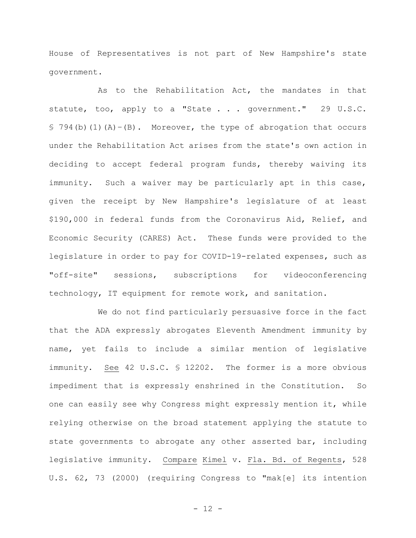House of Representatives is not part of New Hampshire's state government.

As to the Rehabilitation Act, the mandates in that statute, too, apply to a "State . . . government." 29 U.S.C. § 794(b)(1)(A)–(B). Moreover, the type of abrogation that occurs under the Rehabilitation Act arises from the state's own action in deciding to accept federal program funds, thereby waiving its immunity. Such a waiver may be particularly apt in this case, given the receipt by New Hampshire's legislature of at least \$190,000 in federal funds from the Coronavirus Aid, Relief, and Economic Security (CARES) Act. These funds were provided to the legislature in order to pay for COVID-19-related expenses, such as "off-site" sessions, subscriptions for videoconferencing technology, IT equipment for remote work, and sanitation.

We do not find particularly persuasive force in the fact that the ADA expressly abrogates Eleventh Amendment immunity by name, yet fails to include a similar mention of legislative immunity. See 42 U.S.C. § 12202. The former is a more obvious impediment that is expressly enshrined in the Constitution. So one can easily see why Congress might expressly mention it, while relying otherwise on the broad statement applying the statute to state governments to abrogate any other asserted bar, including legislative immunity. Compare Kimel v. Fla. Bd. of Regents, 528 U.S. 62, 73 (2000) (requiring Congress to "mak[e] its intention

- 12 -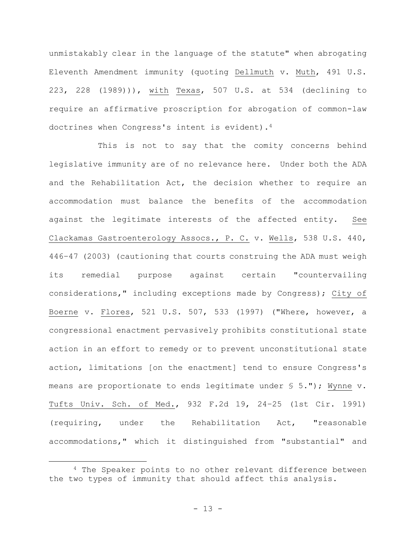unmistakably clear in the language of the statute" when abrogating Eleventh Amendment immunity (quoting Dellmuth v. Muth, 491 U.S. 223, 228 (1989))), with Texas, 507 U.S. at 534 (declining to require an affirmative proscription for abrogation of common-law doctrines when Congress's intent is evident).<sup>4</sup>

This is not to say that the comity concerns behind legislative immunity are of no relevance here. Under both the ADA and the Rehabilitation Act, the decision whether to require an accommodation must balance the benefits of the accommodation against the legitimate interests of the affected entity. See Clackamas Gastroenterology Assocs., P. C. v. Wells, 538 U.S. 440, 446–47 (2003) (cautioning that courts construing the ADA must weigh its remedial purpose against certain "countervailing considerations," including exceptions made by Congress); City of Boerne v. Flores, 521 U.S. 507, 533 (1997) ("Where, however, a congressional enactment pervasively prohibits constitutional state action in an effort to remedy or to prevent unconstitutional state action, limitations [on the enactment] tend to ensure Congress's means are proportionate to ends legitimate under § 5."); Wynne v. Tufts Univ. Sch. of Med., 932 F.2d 19, 24–25 (1st Cir. 1991) (requiring, under the Rehabilitation Act, "reasonable accommodations," which it distinguished from "substantial" and

<sup>4</sup> The Speaker points to no other relevant difference between the two types of immunity that should affect this analysis.